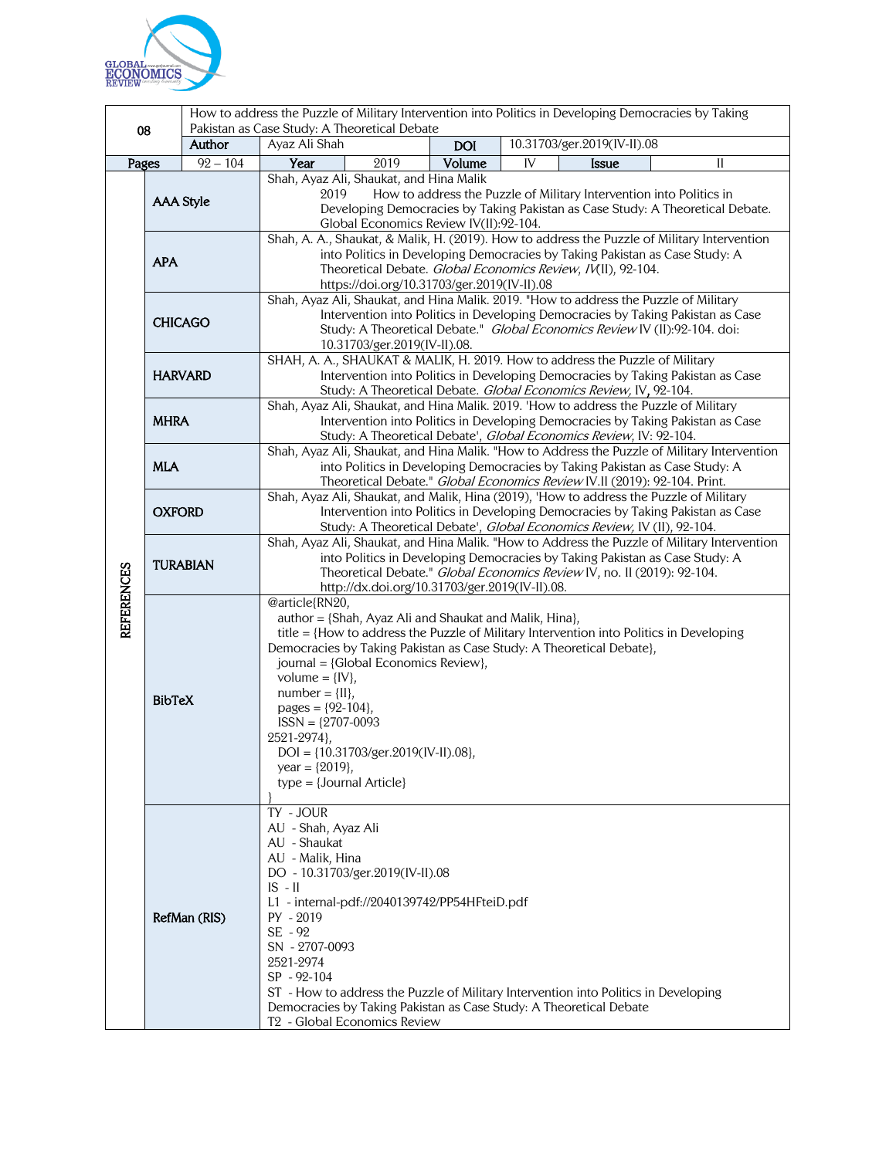

|                   |                  |            | How to address the Puzzle of Military Intervention into Politics in Developing Democracies by Taking<br>Pakistan as Case Study: A Theoretical Debate                                                                                                                                                                                                                                                                                                                                             |      |            |    |  |                             |              |  |
|-------------------|------------------|------------|--------------------------------------------------------------------------------------------------------------------------------------------------------------------------------------------------------------------------------------------------------------------------------------------------------------------------------------------------------------------------------------------------------------------------------------------------------------------------------------------------|------|------------|----|--|-----------------------------|--------------|--|
| 08                |                  | Author     | Ayaz Ali Shah                                                                                                                                                                                                                                                                                                                                                                                                                                                                                    |      | <b>DOI</b> |    |  | 10.31703/ger.2019(IV-II).08 |              |  |
| Pages             |                  | $92 - 104$ | Year                                                                                                                                                                                                                                                                                                                                                                                                                                                                                             | 2019 | Volume     | IV |  | Issue                       | $\mathbf{I}$ |  |
|                   | <b>AAA Style</b> |            | Shah, Ayaz Ali, Shaukat, and Hina Malik<br>2019<br>How to address the Puzzle of Military Intervention into Politics in<br>Developing Democracies by Taking Pakistan as Case Study: A Theoretical Debate.<br>Global Economics Review IV(II):92-104.                                                                                                                                                                                                                                               |      |            |    |  |                             |              |  |
|                   | <b>APA</b>       |            | Shah, A. A., Shaukat, & Malik, H. (2019). How to address the Puzzle of Military Intervention<br>into Politics in Developing Democracies by Taking Pakistan as Case Study: A<br>Theoretical Debate. Global Economics Review, IV(II), 92-104.<br>https://doi.org/10.31703/ger.2019(IV-II).08                                                                                                                                                                                                       |      |            |    |  |                             |              |  |
|                   | <b>CHICAGO</b>   |            | Shah, Ayaz Ali, Shaukat, and Hina Malik. 2019. "How to address the Puzzle of Military<br>Intervention into Politics in Developing Democracies by Taking Pakistan as Case<br>Study: A Theoretical Debate." Global Economics Review IV (II):92-104. doi:<br>10.31703/ger.2019(IV-II).08.                                                                                                                                                                                                           |      |            |    |  |                             |              |  |
| <b>REFERENCES</b> | <b>HARVARD</b>   |            | SHAH, A. A., SHAUKAT & MALIK, H. 2019. How to address the Puzzle of Military<br>Intervention into Politics in Developing Democracies by Taking Pakistan as Case<br>Study: A Theoretical Debate. Global Economics Review, IV, 92-104.                                                                                                                                                                                                                                                             |      |            |    |  |                             |              |  |
|                   | <b>MHRA</b>      |            | Shah, Ayaz Ali, Shaukat, and Hina Malik. 2019. 'How to address the Puzzle of Military<br>Intervention into Politics in Developing Democracies by Taking Pakistan as Case<br>Study: A Theoretical Debate', Global Economics Review, IV: 92-104.                                                                                                                                                                                                                                                   |      |            |    |  |                             |              |  |
|                   | <b>MLA</b>       |            | Shah, Ayaz Ali, Shaukat, and Hina Malik. "How to Address the Puzzle of Military Intervention<br>into Politics in Developing Democracies by Taking Pakistan as Case Study: A<br>Theoretical Debate." Global Economics Review IV.II (2019): 92-104. Print.                                                                                                                                                                                                                                         |      |            |    |  |                             |              |  |
|                   | <b>OXFORD</b>    |            | Shah, Ayaz Ali, Shaukat, and Malik, Hina (2019), 'How to address the Puzzle of Military<br>Intervention into Politics in Developing Democracies by Taking Pakistan as Case<br>Study: A Theoretical Debate', Global Economics Review, IV (II), 92-104.                                                                                                                                                                                                                                            |      |            |    |  |                             |              |  |
|                   | <b>TURABIAN</b>  |            | Shah, Ayaz Ali, Shaukat, and Hina Malik. "How to Address the Puzzle of Military Intervention<br>into Politics in Developing Democracies by Taking Pakistan as Case Study: A<br>Theoretical Debate." Global Economics Review IV, no. II (2019): 92-104.<br>http://dx.doi.org/10.31703/ger.2019(IV-II).08.                                                                                                                                                                                         |      |            |    |  |                             |              |  |
|                   | <b>BibTeX</b>    |            | @article{RN20,<br>author = {Shah, Ayaz Ali and Shaukat and Malik, Hina},<br>title = {How to address the Puzzle of Military Intervention into Politics in Developing<br>Democracies by Taking Pakistan as Case Study: A Theoretical Debate},<br>journal = {Global Economics Review},<br>volume = $\{IV\}$ ,<br>$number = \{II\},\$<br>pages = ${92-104}$ ,<br>$ISSN = {2707-0093}$<br>2521-2974},<br>$DOI = \{10.31703/ger.2019(IV-II).08\},\$<br>year = ${2019}$ ,<br>$type = {Journal Article}$ |      |            |    |  |                             |              |  |
|                   | RefMan (RIS)     |            | TY - JOUR<br>AU - Shah, Ayaz Ali<br>AU - Shaukat<br>AU - Malik, Hina<br>DO - 10.31703/ger.2019(IV-II).08<br>$IS - II$<br>L1 - internal-pdf://2040139742/PP54HFteiD.pdf<br>PY - 2019<br>SE - 92<br>SN - 2707-0093<br>2521-2974<br>SP - 92-104<br>ST - How to address the Puzzle of Military Intervention into Politics in Developing<br>Democracies by Taking Pakistan as Case Study: A Theoretical Debate<br>T <sub>2</sub> - Global Economics Review                                            |      |            |    |  |                             |              |  |